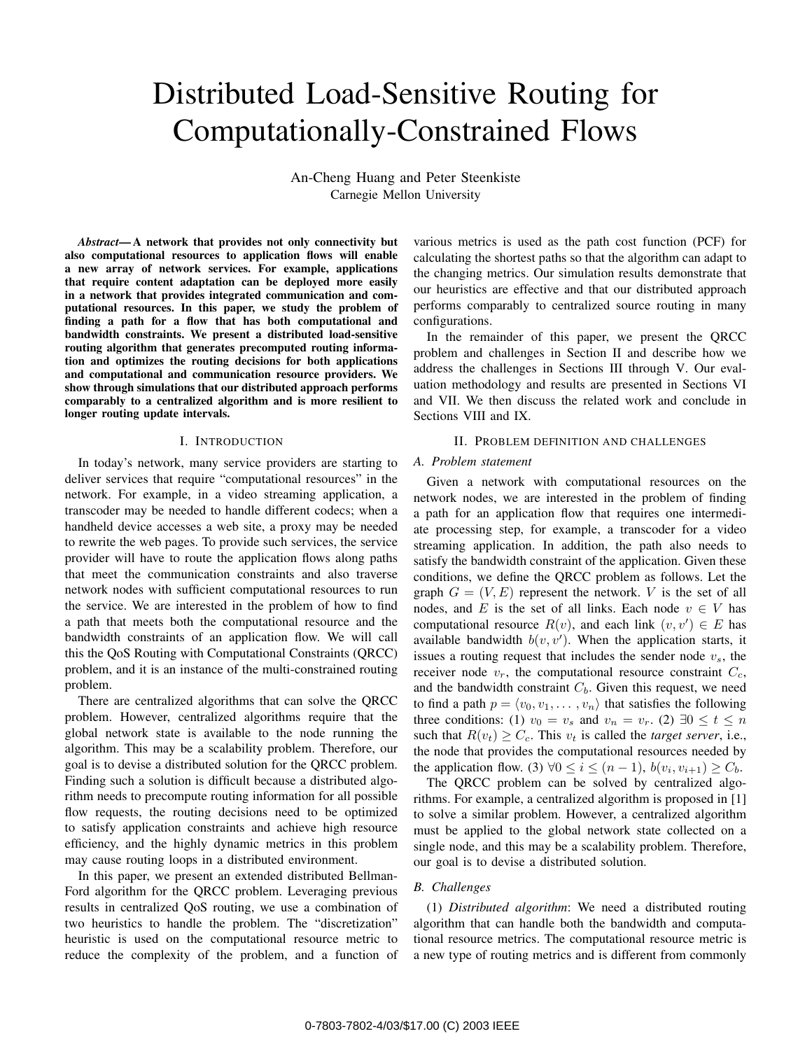# Distributed Load-Sensitive Routing for Computationally-Constrained Flows

An-Cheng Huang and Peter Steenkiste Carnegie Mellon University

*Abstract***— A network that provides not only connectivity but also computational resources to application flows will enable a new array of network services. For example, applications that require content adaptation can be deployed more easily in a network that provides integrated communication and computational resources. In this paper, we study the problem of finding a path for a flow that has both computational and bandwidth constraints. We present a distributed load-sensitive routing algorithm that generates precomputed routing information and optimizes the routing decisions for both applications and computational and communication resource providers. We show through simulations that our distributed approach performs comparably to a centralized algorithm and is more resilient to longer routing update intervals.**

#### I. INTRODUCTION

In today's network, many service providers are starting to deliver services that require "computational resources" in the network. For example, in a video streaming application, a transcoder may be needed to handle different codecs; when a handheld device accesses a web site, a proxy may be needed to rewrite the web pages. To provide such services, the service provider will have to route the application flows along paths that meet the communication constraints and also traverse network nodes with sufficient computational resources to run the service. We are interested in the problem of how to find a path that meets both the computational resource and the bandwidth constraints of an application flow. We will call this the QoS Routing with Computational Constraints (QRCC) problem, and it is an instance of the multi-constrained routing problem.

There are centralized algorithms that can solve the QRCC problem. However, centralized algorithms require that the global network state is available to the node running the algorithm. This may be a scalability problem. Therefore, our goal is to devise a distributed solution for the QRCC problem. Finding such a solution is difficult because a distributed algorithm needs to precompute routing information for all possible flow requests, the routing decisions need to be optimized to satisfy application constraints and achieve high resource efficiency, and the highly dynamic metrics in this problem may cause routing loops in a distributed environment.

In this paper, we present an extended distributed Bellman-Ford algorithm for the QRCC problem. Leveraging previous results in centralized QoS routing, we use a combination of two heuristics to handle the problem. The "discretization" heuristic is used on the computational resource metric to reduce the complexity of the problem, and a function of

various metrics is used as the path cost function (PCF) for calculating the shortest paths so that the algorithm can adapt to the changing metrics. Our simulation results demonstrate that our heuristics are effective and that our distributed approach performs comparably to centralized source routing in many configurations.

In the remainder of this paper, we present the QRCC problem and challenges in Section II and describe how we address the challenges in Sections III through V. Our evaluation methodology and results are presented in Sections VI and VII. We then discuss the related work and conclude in Sections VIII and IX.

## II. PROBLEM DEFINITION AND CHALLENGES

# *A. Problem statement*

Given a network with computational resources on the network nodes, we are interested in the problem of finding a path for an application flow that requires one intermediate processing step, for example, a transcoder for a video streaming application. In addition, the path also needs to satisfy the bandwidth constraint of the application. Given these conditions, we define the QRCC problem as follows. Let the graph  $G = (V, E)$  represent the network. *V* is the set of all nodes, and *E* is the set of all links. Each node  $v \in V$  has computational resource  $R(v)$ , and each link  $(v, v') \in E$  has available bandwidth  $b(v, v')$ . When the application starts, it issues a routing request that includes the sender node *vs*, the receiver node  $v_r$ , the computational resource constraint  $C_c$ , and the bandwidth constraint *Cb*. Given this request, we need to find a path  $p = \langle v_0, v_1, \dots, v_n \rangle$  that satisfies the following three conditions: (1)  $v_0 = v_s$  and  $v_n = v_r$ . (2)  $\exists 0 \le t \le n$ such that  $R(v_t) \geq C_c$ . This  $v_t$  is called the *target server*, i.e., the node that provides the computational resources needed by the application flow. (3)  $\forall 0 \le i \le (n-1), b(v_i, v_{i+1}) \ge C_b$ .

The QRCC problem can be solved by centralized algorithms. For example, a centralized algorithm is proposed in [1] to solve a similar problem. However, a centralized algorithm must be applied to the global network state collected on a single node, and this may be a scalability problem. Therefore, our goal is to devise a distributed solution.

# *B. Challenges*

(1) *Distributed algorithm*: We need a distributed routing algorithm that can handle both the bandwidth and computational resource metrics. The computational resource metric is a new type of routing metrics and is different from commonly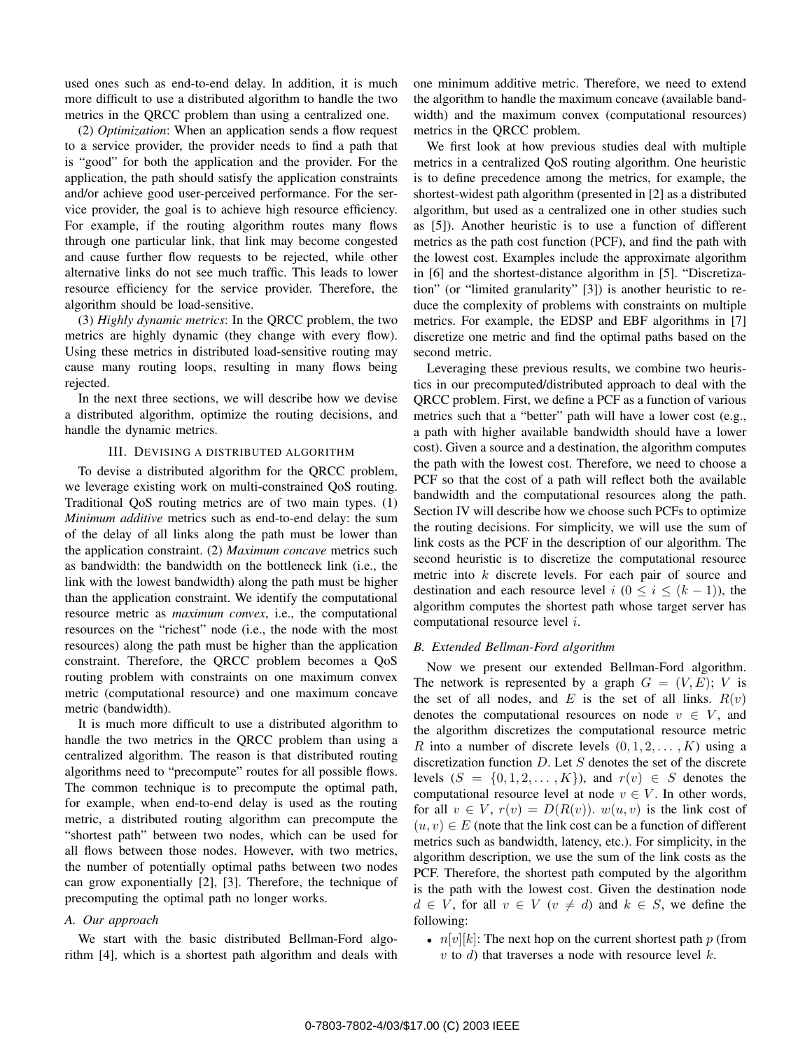used ones such as end-to-end delay. In addition, it is much more difficult to use a distributed algorithm to handle the two metrics in the QRCC problem than using a centralized one.

(2) *Optimization*: When an application sends a flow request to a service provider, the provider needs to find a path that is "good" for both the application and the provider. For the application, the path should satisfy the application constraints and/or achieve good user-perceived performance. For the service provider, the goal is to achieve high resource efficiency. For example, if the routing algorithm routes many flows through one particular link, that link may become congested and cause further flow requests to be rejected, while other alternative links do not see much traffic. This leads to lower resource efficiency for the service provider. Therefore, the algorithm should be load-sensitive.

(3) *Highly dynamic metrics*: In the QRCC problem, the two metrics are highly dynamic (they change with every flow). Using these metrics in distributed load-sensitive routing may cause many routing loops, resulting in many flows being rejected.

In the next three sections, we will describe how we devise a distributed algorithm, optimize the routing decisions, and handle the dynamic metrics.

# III. DEVISING A DISTRIBUTED ALGORITHM

To devise a distributed algorithm for the QRCC problem, we leverage existing work on multi-constrained QoS routing. Traditional QoS routing metrics are of two main types. (1) *Minimum additive* metrics such as end-to-end delay: the sum of the delay of all links along the path must be lower than the application constraint. (2) *Maximum concave* metrics such as bandwidth: the bandwidth on the bottleneck link (i.e., the link with the lowest bandwidth) along the path must be higher than the application constraint. We identify the computational resource metric as *maximum convex*, i.e., the computational resources on the "richest" node (i.e., the node with the most resources) along the path must be higher than the application constraint. Therefore, the QRCC problem becomes a QoS routing problem with constraints on one maximum convex metric (computational resource) and one maximum concave metric (bandwidth).

It is much more difficult to use a distributed algorithm to handle the two metrics in the QRCC problem than using a centralized algorithm. The reason is that distributed routing algorithms need to "precompute" routes for all possible flows. The common technique is to precompute the optimal path, for example, when end-to-end delay is used as the routing metric, a distributed routing algorithm can precompute the "shortest path" between two nodes, which can be used for all flows between those nodes. However, with two metrics, the number of potentially optimal paths between two nodes can grow exponentially [2], [3]. Therefore, the technique of precomputing the optimal path no longer works.

# *A. Our approach*

We start with the basic distributed Bellman-Ford algorithm [4], which is a shortest path algorithm and deals with one minimum additive metric. Therefore, we need to extend the algorithm to handle the maximum concave (available bandwidth) and the maximum convex (computational resources) metrics in the QRCC problem.

We first look at how previous studies deal with multiple metrics in a centralized QoS routing algorithm. One heuristic is to define precedence among the metrics, for example, the shortest-widest path algorithm (presented in [2] as a distributed algorithm, but used as a centralized one in other studies such as [5]). Another heuristic is to use a function of different metrics as the path cost function (PCF), and find the path with the lowest cost. Examples include the approximate algorithm in [6] and the shortest-distance algorithm in [5]. "Discretization" (or "limited granularity" [3]) is another heuristic to reduce the complexity of problems with constraints on multiple metrics. For example, the EDSP and EBF algorithms in [7] discretize one metric and find the optimal paths based on the second metric.

Leveraging these previous results, we combine two heuristics in our precomputed/distributed approach to deal with the QRCC problem. First, we define a PCF as a function of various metrics such that a "better" path will have a lower cost (e.g., a path with higher available bandwidth should have a lower cost). Given a source and a destination, the algorithm computes the path with the lowest cost. Therefore, we need to choose a PCF so that the cost of a path will reflect both the available bandwidth and the computational resources along the path. Section IV will describe how we choose such PCFs to optimize the routing decisions. For simplicity, we will use the sum of link costs as the PCF in the description of our algorithm. The second heuristic is to discretize the computational resource metric into *k* discrete levels. For each pair of source and destination and each resource level  $i$  ( $0 \le i \le (k-1)$ ), the algorithm computes the shortest path whose target server has computational resource level *i*.

## *B. Extended Bellman-Ford algorithm*

Now we present our extended Bellman-Ford algorithm. The network is represented by a graph  $G = (V, E); V$  is the set of all nodes, and  $E$  is the set of all links.  $R(v)$ denotes the computational resources on node  $v \in V$ , and the algorithm discretizes the computational resource metric *R* into a number of discrete levels  $(0, 1, 2, \ldots, K)$  using a discretization function *D*. Let *S* denotes the set of the discrete levels  $(S = \{0, 1, 2, \ldots, K\})$ , and  $r(v) \in S$  denotes the computational resource level at node  $v \in V$ . In other words, for all  $v \in V$ ,  $r(v) = D(R(v))$ .  $w(u, v)$  is the link cost of  $(u, v) \in E$  (note that the link cost can be a function of different metrics such as bandwidth, latency, etc.). For simplicity, in the algorithm description, we use the sum of the link costs as the PCF. Therefore, the shortest path computed by the algorithm is the path with the lowest cost. Given the destination node *d* ∈ *V*, for all  $v \in V$  ( $v \neq d$ ) and  $k \in S$ , we define the following:

•  $n[v][k]$ : The next hop on the current shortest path  $p$  (from *v* to *d*) that traverses a node with resource level *k*.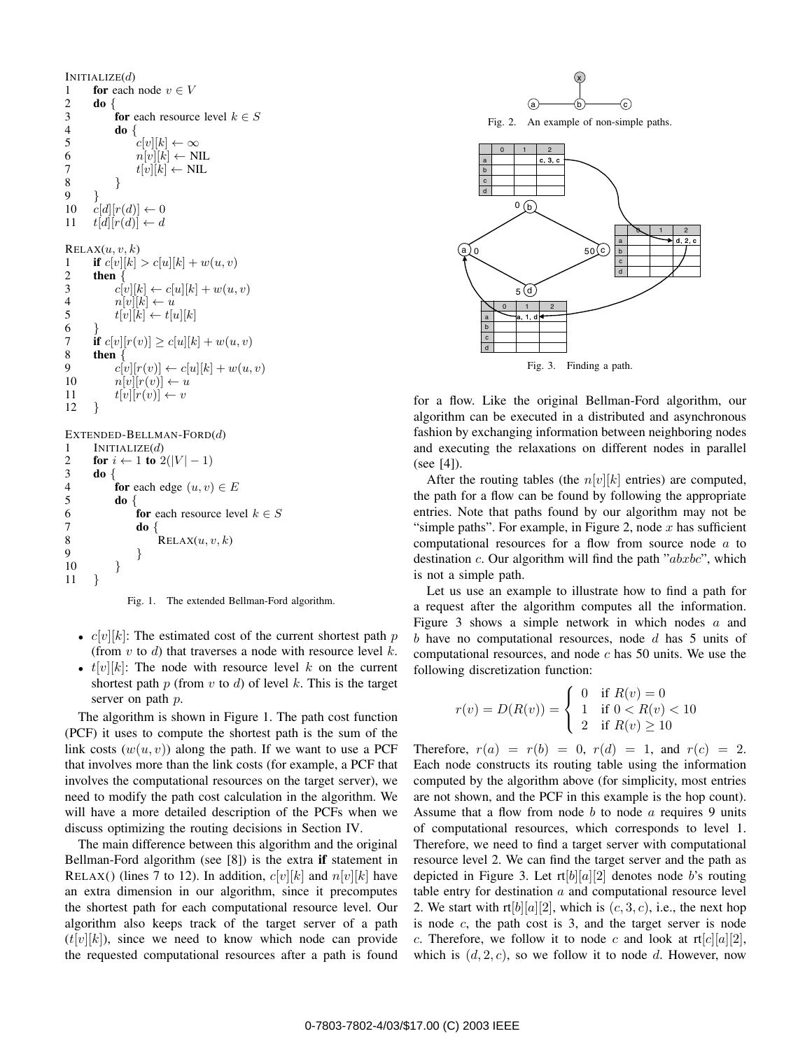```
INITIALIZE(d)
1 for each node v \in V<br>2 do {
\begin{bmatrix} 2 & \mathbf{d}\mathbf{0} \\ 3 & \mathbf{0} \end{bmatrix}3 for each resource level k \in S<br>4 do {
\begin{array}{cc} 4 & \text{do } \{ \\ 5 & \text{on } \end{array}5 c[v][k] \leftarrow \infty<br>6 n[v][k] \leftarrow \mathbb{N}6 n[v][k] \leftarrow \text{NIL}<br>7 t[v][k] \leftarrow \text{NIL}7 t[v][k] \leftarrow \text{NIL}<br>8 }
8 }
9 }
10 c[d][r(d)] \leftarrow 0<br>11 t[d][r(d)] \leftarrow dt[d][r(d)] \leftarrow dRELAX(u, v, k)1 if c[v][k] > c[u][k] + w(u, v)<br>2 then {
2 then \{3\}3 c[v][k] \leftarrow c[u][k] + w(u, v)<br>4 n[v][k] \leftarrow u4 n[v][k] \leftarrow u<br>5 t[v][k] \leftarrow t[n]t[v][k] \leftarrow t[u][k]6 }
7 if c[v][r(v)] \ge c[u][k] + w(u, v)<br>8 then {
8 then \{<sup>0</sup> c<sup>[</sup>
9 c[v][r(v)] \leftarrow c[u][k] + w(u, v)<br>10 n[v][r(v)] \leftarrow u10 n[v][r(v)] \leftarrow u<br>11 t[v][r(v)] \leftarrow v\{t[v][r(v)] \leftarrow v\}12 }
```
EXTENDED-BELLMAN-FORD(*d*)

```
1 INITIALIZE(d)<br>2 for i \leftarrow 1 to 2
2 for i \leftarrow 1 to 2(|V | -1)<br>3 <b>do {
3 do {
4 for each edge (u, v) \in E<br>5 do {
\begin{array}{ccc} 5 & \textbf{do} \ 6 & \textbf{to} \end{array}6 for each resource level k \in S<br>7 do {
7 do {
8 RELAX(u, v, k)9 }
10 }
11 }
```
Fig. 1. The extended Bellman-Ford algorithm.

- $c[v][k]$ : The estimated cost of the current shortest path *p* (from *v* to *d*) that traverses a node with resource level *k*.
- *• t*[*v*][*k*]: The node with resource level *k* on the current shortest path *p* (from *v* to *d*) of level *k*. This is the target server on path *p*.

The algorithm is shown in Figure 1. The path cost function (PCF) it uses to compute the shortest path is the sum of the link costs  $(w(u, v))$  along the path. If we want to use a PCF that involves more than the link costs (for example, a PCF that involves the computational resources on the target server), we need to modify the path cost calculation in the algorithm. We will have a more detailed description of the PCFs when we discuss optimizing the routing decisions in Section IV.

The main difference between this algorithm and the original Bellman-Ford algorithm (see [8]) is the extra **if** statement in RELAX() (lines 7 to 12). In addition,  $c[v][k]$  and  $n[v][k]$  have an extra dimension in our algorithm, since it precomputes the shortest path for each computational resource level. Our algorithm also keeps track of the target server of a path  $(t[v][k])$ , since we need to know which node can provide the requested computational resources after a path is found



Fig. 2. An example of non-simple paths.



Fig. 3. Finding a path.

for a flow. Like the original Bellman-Ford algorithm, our algorithm can be executed in a distributed and asynchronous fashion by exchanging information between neighboring nodes and executing the relaxations on different nodes in parallel (see [4]).

After the routing tables (the  $n[v][k]$  entries) are computed, the path for a flow can be found by following the appropriate entries. Note that paths found by our algorithm may not be "simple paths". For example, in Figure 2, node *x* has sufficient computational resources for a flow from source node *a* to destination *c*. Our algorithm will find the path "*abxbc*", which is not a simple path.

Let us use an example to illustrate how to find a path for a request after the algorithm computes all the information. Figure 3 shows a simple network in which nodes *a* and *b* have no computational resources, node *d* has 5 units of computational resources, and node *c* has 50 units. We use the following discretization function:

$$
r(v) = D(R(v)) = \begin{cases} 0 & \text{if } R(v) = 0\\ 1 & \text{if } 0 < R(v) < 10\\ 2 & \text{if } R(v) \ge 10 \end{cases}
$$

Therefore,  $r(a) = r(b) = 0$ ,  $r(d) = 1$ , and  $r(c) = 2$ . Each node constructs its routing table using the information computed by the algorithm above (for simplicity, most entries are not shown, and the PCF in this example is the hop count). Assume that a flow from node *b* to node *a* requires 9 units of computational resources, which corresponds to level 1. Therefore, we need to find a target server with computational resource level 2. We can find the target server and the path as depicted in Figure 3. Let  $rt[b][a][2]$  denotes node *b*'s routing table entry for destination *a* and computational resource level 2. We start with  $rt[b][a][2]$ , which is  $(c, 3, c)$ , i.e., the next hop is node *c*, the path cost is 3, and the target server is node *c*. Therefore, we follow it to node *c* and look at  $rt[c][a][2]$ , which is  $(d, 2, c)$ , so we follow it to node  $d$ . However, now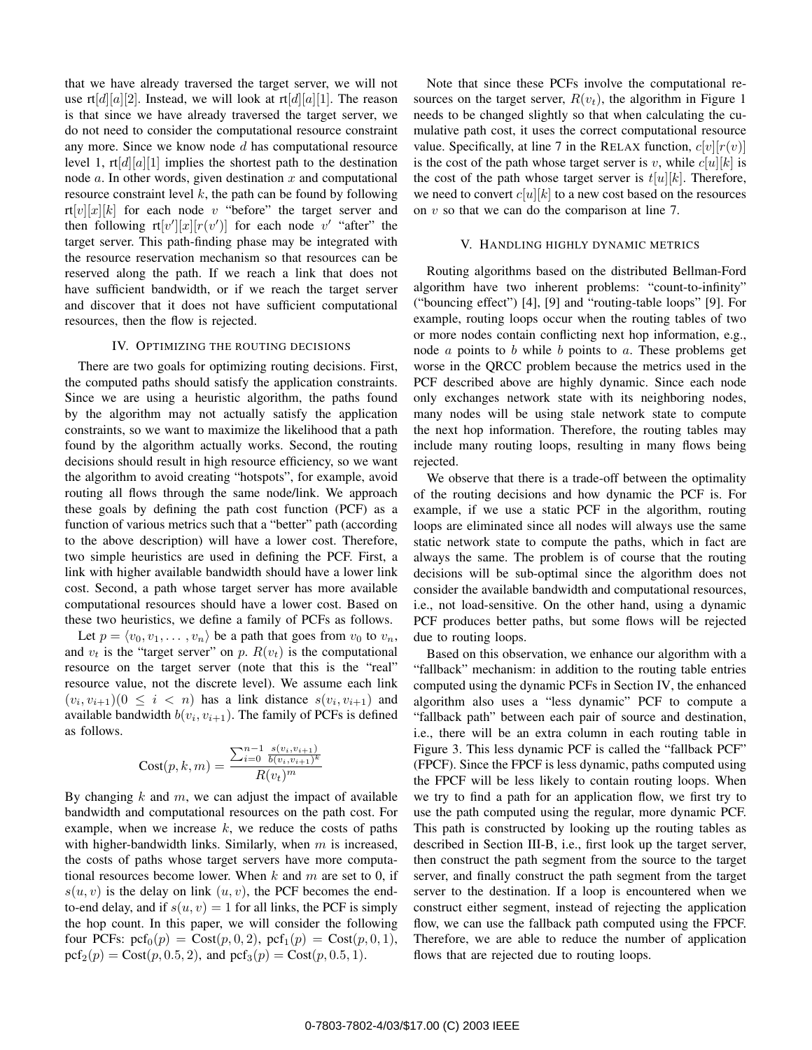that we have already traversed the target server, we will not use  $rt[d][a][2]$ . Instead, we will look at  $rt[d][a][1]$ . The reason is that since we have already traversed the target server, we do not need to consider the computational resource constraint any more. Since we know node *d* has computational resource level 1,  $\text{rt}[d][a][1]$  implies the shortest path to the destination node *a*. In other words, given destination *x* and computational resource constraint level *k*, the path can be found by following  $rt[v][x][k]$  for each node *v* "before" the target server and then following  $\text{rt}[v'][x][r(v')]$  for each node v' "after" the target server. This path-finding phase may be integrated with the resource reservation mechanism so that resources can be reserved along the path. If we reach a link that does not have sufficient bandwidth, or if we reach the target server and discover that it does not have sufficient computational resources, then the flow is rejected.

#### IV. OPTIMIZING THE ROUTING DECISIONS

There are two goals for optimizing routing decisions. First, the computed paths should satisfy the application constraints. Since we are using a heuristic algorithm, the paths found by the algorithm may not actually satisfy the application constraints, so we want to maximize the likelihood that a path found by the algorithm actually works. Second, the routing decisions should result in high resource efficiency, so we want the algorithm to avoid creating "hotspots", for example, avoid routing all flows through the same node/link. We approach these goals by defining the path cost function (PCF) as a function of various metrics such that a "better" path (according to the above description) will have a lower cost. Therefore, two simple heuristics are used in defining the PCF. First, a link with higher available bandwidth should have a lower link cost. Second, a path whose target server has more available computational resources should have a lower cost. Based on these two heuristics, we define a family of PCFs as follows.

Let  $p = \langle v_0, v_1, \dots, v_n \rangle$  be a path that goes from  $v_0$  to  $v_n$ , and  $v_t$  is the "target server" on p.  $R(v_t)$  is the computational resource on the target server (note that this is the "real" resource value, not the discrete level). We assume each link  $(v_i, v_{i+1})$  ( $0 \leq i < n$ ) has a link distance  $s(v_i, v_{i+1})$  and available bandwidth  $b(v_i, v_{i+1})$ . The family of PCFs is defined as follows.

$$
Cost(p, k, m) = \frac{\sum_{i=0}^{n-1} \frac{s(v_i, v_{i+1})}{b(v_i, v_{i+1})^k}}{R(v_t)^m}
$$

By changing *k* and *m*, we can adjust the impact of available bandwidth and computational resources on the path cost. For example, when we increase *k*, we reduce the costs of paths with higher-bandwidth links. Similarly, when *m* is increased, the costs of paths whose target servers have more computational resources become lower. When *k* and *m* are set to 0, if  $s(u, v)$  is the delay on link  $(u, v)$ , the PCF becomes the endto-end delay, and if  $s(u, v) = 1$  for all links, the PCF is simply the hop count. In this paper, we will consider the following four PCFs:  $\text{pcf}_0(p) = \text{Cost}(p, 0, 2), \text{pcf}_1(p) = \text{Cost}(p, 0, 1),$  $\text{pcf}_2(p) = \text{Cost}(p, 0.5, 2),$  and  $\text{pcf}_3(p) = \text{Cost}(p, 0.5, 1).$ 

Note that since these PCFs involve the computational resources on the target server,  $R(v_t)$ , the algorithm in Figure 1 needs to be changed slightly so that when calculating the cumulative path cost, it uses the correct computational resource value. Specifically, at line 7 in the RELAX function,  $c[v][r(v)]$ is the cost of the path whose target server is *v*, while  $c[u][k]$  is the cost of the path whose target server is  $t[u][k]$ . Therefore, we need to convert  $c[u][k]$  to a new cost based on the resources on *v* so that we can do the comparison at line 7.

#### V. HANDLING HIGHLY DYNAMIC METRICS

Routing algorithms based on the distributed Bellman-Ford algorithm have two inherent problems: "count-to-infinity" ("bouncing effect") [4], [9] and "routing-table loops" [9]. For example, routing loops occur when the routing tables of two or more nodes contain conflicting next hop information, e.g., node *a* points to *b* while *b* points to *a*. These problems get worse in the QRCC problem because the metrics used in the PCF described above are highly dynamic. Since each node only exchanges network state with its neighboring nodes, many nodes will be using stale network state to compute the next hop information. Therefore, the routing tables may include many routing loops, resulting in many flows being rejected.

We observe that there is a trade-off between the optimality of the routing decisions and how dynamic the PCF is. For example, if we use a static PCF in the algorithm, routing loops are eliminated since all nodes will always use the same static network state to compute the paths, which in fact are always the same. The problem is of course that the routing decisions will be sub-optimal since the algorithm does not consider the available bandwidth and computational resources, i.e., not load-sensitive. On the other hand, using a dynamic PCF produces better paths, but some flows will be rejected due to routing loops.

Based on this observation, we enhance our algorithm with a "fallback" mechanism: in addition to the routing table entries computed using the dynamic PCFs in Section IV, the enhanced algorithm also uses a "less dynamic" PCF to compute a "fallback path" between each pair of source and destination, i.e., there will be an extra column in each routing table in Figure 3. This less dynamic PCF is called the "fallback PCF" (FPCF). Since the FPCF is less dynamic, paths computed using the FPCF will be less likely to contain routing loops. When we try to find a path for an application flow, we first try to use the path computed using the regular, more dynamic PCF. This path is constructed by looking up the routing tables as described in Section III-B, i.e., first look up the target server, then construct the path segment from the source to the target server, and finally construct the path segment from the target server to the destination. If a loop is encountered when we construct either segment, instead of rejecting the application flow, we can use the fallback path computed using the FPCF. Therefore, we are able to reduce the number of application flows that are rejected due to routing loops.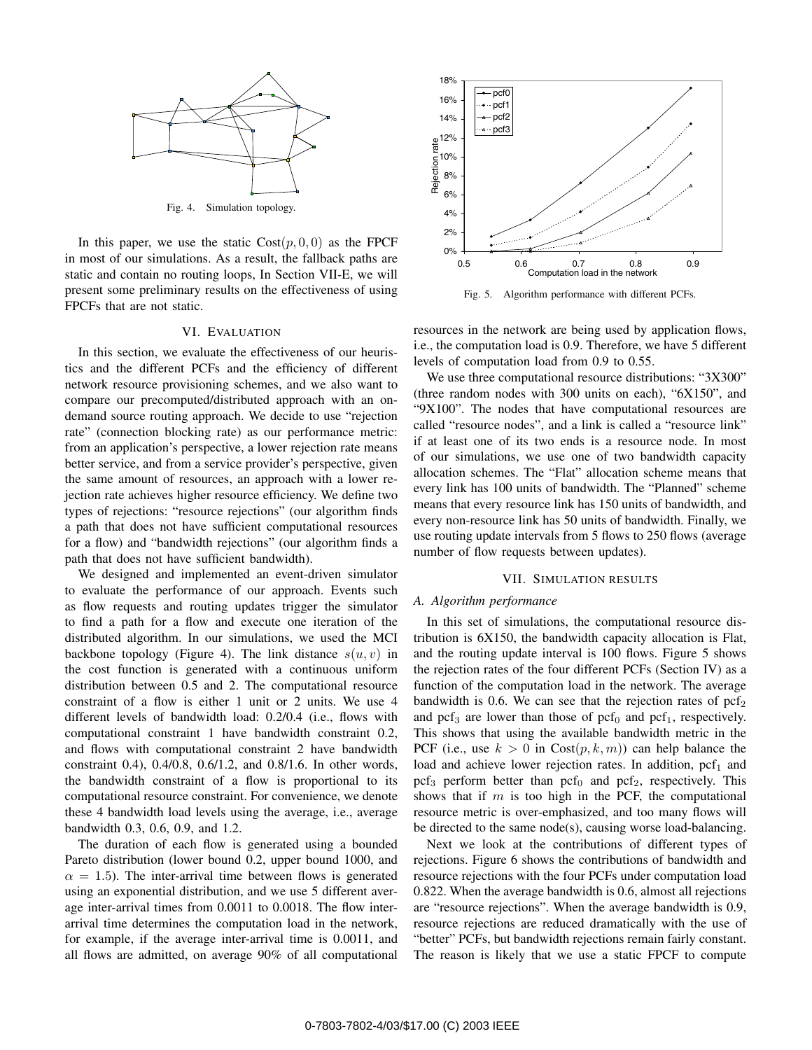

Fig. 4. Simulation topology.

In this paper, we use the static  $Cost(p, 0, 0)$  as the FPCF in most of our simulations. As a result, the fallback paths are static and contain no routing loops, In Section VII-E, we will present some preliminary results on the effectiveness of using FPCFs that are not static.

#### VI. EVALUATION

In this section, we evaluate the effectiveness of our heuristics and the different PCFs and the efficiency of different network resource provisioning schemes, and we also want to compare our precomputed/distributed approach with an ondemand source routing approach. We decide to use "rejection rate" (connection blocking rate) as our performance metric: from an application's perspective, a lower rejection rate means better service, and from a service provider's perspective, given the same amount of resources, an approach with a lower rejection rate achieves higher resource efficiency. We define two types of rejections: "resource rejections" (our algorithm finds a path that does not have sufficient computational resources for a flow) and "bandwidth rejections" (our algorithm finds a path that does not have sufficient bandwidth).

We designed and implemented an event-driven simulator to evaluate the performance of our approach. Events such as flow requests and routing updates trigger the simulator to find a path for a flow and execute one iteration of the distributed algorithm. In our simulations, we used the MCI backbone topology (Figure 4). The link distance  $s(u, v)$  in the cost function is generated with a continuous uniform distribution between 0.5 and 2. The computational resource constraint of a flow is either 1 unit or 2 units. We use 4 different levels of bandwidth load: 0.2/0.4 (i.e., flows with computational constraint 1 have bandwidth constraint 0.2, and flows with computational constraint 2 have bandwidth constraint 0.4), 0.4/0.8, 0.6/1.2, and 0.8/1.6. In other words, the bandwidth constraint of a flow is proportional to its computational resource constraint. For convenience, we denote these 4 bandwidth load levels using the average, i.e., average bandwidth 0.3, 0.6, 0.9, and 1.2.

The duration of each flow is generated using a bounded Pareto distribution (lower bound 0.2, upper bound 1000, and  $\alpha = 1.5$ ). The inter-arrival time between flows is generated using an exponential distribution, and we use 5 different average inter-arrival times from 0.0011 to 0.0018. The flow interarrival time determines the computation load in the network, for example, if the average inter-arrival time is 0.0011, and all flows are admitted, on average 90% of all computational



Fig. 5. Algorithm performance with different PCFs.

resources in the network are being used by application flows, i.e., the computation load is 0.9. Therefore, we have 5 different levels of computation load from 0.9 to 0.55.

We use three computational resource distributions: "3X300" (three random nodes with 300 units on each), "6X150", and "9X100". The nodes that have computational resources are called "resource nodes", and a link is called a "resource link" if at least one of its two ends is a resource node. In most of our simulations, we use one of two bandwidth capacity allocation schemes. The "Flat" allocation scheme means that every link has 100 units of bandwidth. The "Planned" scheme means that every resource link has 150 units of bandwidth, and every non-resource link has 50 units of bandwidth. Finally, we use routing update intervals from 5 flows to 250 flows (average number of flow requests between updates).

#### VII. SIMULATION RESULTS

#### *A. Algorithm performance*

In this set of simulations, the computational resource distribution is 6X150, the bandwidth capacity allocation is Flat, and the routing update interval is 100 flows. Figure 5 shows the rejection rates of the four different PCFs (Section IV) as a function of the computation load in the network. The average bandwidth is 0.6. We can see that the rejection rates of  $\text{pcf}_2$ and pcf<sub>3</sub> are lower than those of pcf<sub>0</sub> and pcf<sub>1</sub>, respectively. This shows that using the available bandwidth metric in the PCF (i.e., use  $k > 0$  in  $Cost(p, k, m)$ ) can help balance the load and achieve lower rejection rates. In addition,  $\text{pcf}_1$  and  $\text{pcf}_3$  perform better than  $\text{pcf}_0$  and  $\text{pcf}_2$ , respectively. This shows that if *m* is too high in the PCF, the computational resource metric is over-emphasized, and too many flows will be directed to the same node(s), causing worse load-balancing.

Next we look at the contributions of different types of rejections. Figure 6 shows the contributions of bandwidth and resource rejections with the four PCFs under computation load 0.822. When the average bandwidth is 0.6, almost all rejections are "resource rejections". When the average bandwidth is 0.9, resource rejections are reduced dramatically with the use of "better" PCFs, but bandwidth rejections remain fairly constant. The reason is likely that we use a static FPCF to compute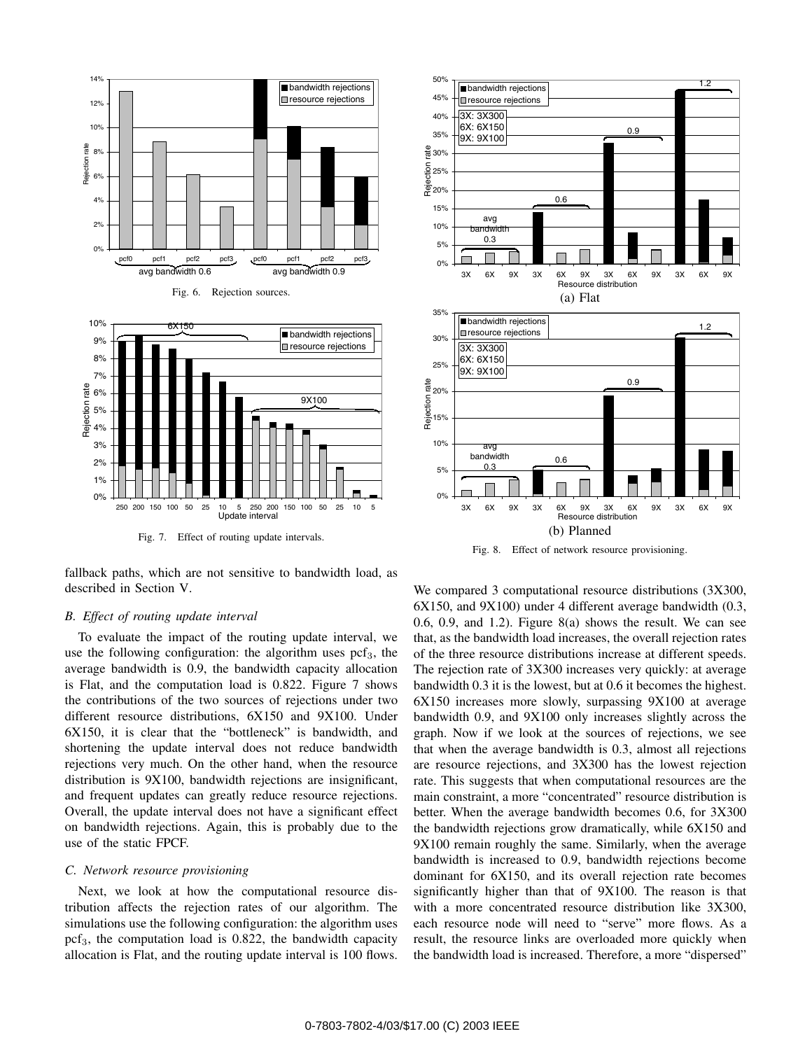

Fig. 7. Effect of routing update intervals.

fallback paths, which are not sensitive to bandwidth load, as described in Section V.

# *B. Effect of routing update interval*

To evaluate the impact of the routing update interval, we use the following configuration: the algorithm uses  $\text{pcf}_3$ , the average bandwidth is 0.9, the bandwidth capacity allocation is Flat, and the computation load is 0.822. Figure 7 shows the contributions of the two sources of rejections under two different resource distributions, 6X150 and 9X100. Under 6X150, it is clear that the "bottleneck" is bandwidth, and shortening the update interval does not reduce bandwidth rejections very much. On the other hand, when the resource distribution is 9X100, bandwidth rejections are insignificant, and frequent updates can greatly reduce resource rejections. Overall, the update interval does not have a significant effect on bandwidth rejections. Again, this is probably due to the use of the static FPCF.

#### *C. Network resource provisioning*

Next, we look at how the computational resource distribution affects the rejection rates of our algorithm. The simulations use the following configuration: the algorithm uses  $\text{pcf}_3$ , the computation load is 0.822, the bandwidth capacity allocation is Flat, and the routing update interval is 100 flows.



Fig. 8. Effect of network resource provisioning.

We compared 3 computational resource distributions (3X300, 6X150, and 9X100) under 4 different average bandwidth (0.3, 0.6, 0.9, and 1.2). Figure 8(a) shows the result. We can see that, as the bandwidth load increases, the overall rejection rates of the three resource distributions increase at different speeds. The rejection rate of 3X300 increases very quickly: at average bandwidth 0.3 it is the lowest, but at 0.6 it becomes the highest. 6X150 increases more slowly, surpassing 9X100 at average bandwidth 0.9, and 9X100 only increases slightly across the graph. Now if we look at the sources of rejections, we see that when the average bandwidth is 0.3, almost all rejections are resource rejections, and 3X300 has the lowest rejection rate. This suggests that when computational resources are the main constraint, a more "concentrated" resource distribution is better. When the average bandwidth becomes 0.6, for 3X300 the bandwidth rejections grow dramatically, while 6X150 and 9X100 remain roughly the same. Similarly, when the average bandwidth is increased to 0.9, bandwidth rejections become dominant for 6X150, and its overall rejection rate becomes significantly higher than that of 9X100. The reason is that with a more concentrated resource distribution like 3X300, each resource node will need to "serve" more flows. As a result, the resource links are overloaded more quickly when the bandwidth load is increased. Therefore, a more "dispersed"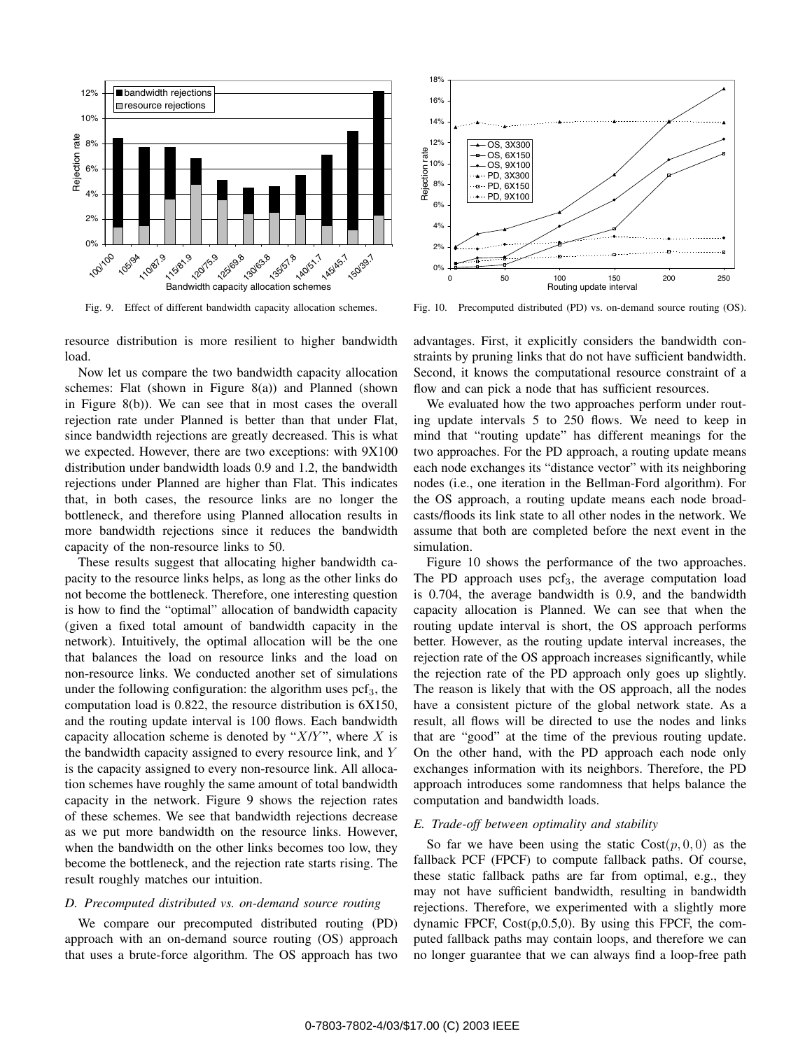

Fig. 9. Effect of different bandwidth capacity allocation schemes.

resource distribution is more resilient to higher bandwidth load.

Now let us compare the two bandwidth capacity allocation schemes: Flat (shown in Figure 8(a)) and Planned (shown in Figure 8(b)). We can see that in most cases the overall rejection rate under Planned is better than that under Flat, since bandwidth rejections are greatly decreased. This is what we expected. However, there are two exceptions: with 9X100 distribution under bandwidth loads 0.9 and 1.2, the bandwidth rejections under Planned are higher than Flat. This indicates that, in both cases, the resource links are no longer the bottleneck, and therefore using Planned allocation results in more bandwidth rejections since it reduces the bandwidth capacity of the non-resource links to 50.

These results suggest that allocating higher bandwidth capacity to the resource links helps, as long as the other links do not become the bottleneck. Therefore, one interesting question is how to find the "optimal" allocation of bandwidth capacity (given a fixed total amount of bandwidth capacity in the network). Intuitively, the optimal allocation will be the one that balances the load on resource links and the load on non-resource links. We conducted another set of simulations under the following configuration: the algorithm uses  $\text{pcf}_3$ , the computation load is 0.822, the resource distribution is 6X150, and the routing update interval is 100 flows. Each bandwidth capacity allocation scheme is denoted by " $X/Y$ ", where *X* is the bandwidth capacity assigned to every resource link, and *Y* is the capacity assigned to every non-resource link. All allocation schemes have roughly the same amount of total bandwidth capacity in the network. Figure 9 shows the rejection rates of these schemes. We see that bandwidth rejections decrease as we put more bandwidth on the resource links. However, when the bandwidth on the other links becomes too low, they become the bottleneck, and the rejection rate starts rising. The result roughly matches our intuition.

# *D. Precomputed distributed vs. on-demand source routing*

We compare our precomputed distributed routing (PD) approach with an on-demand source routing (OS) approach that uses a brute-force algorithm. The OS approach has two



Fig. 10. Precomputed distributed (PD) vs. on-demand source routing (OS).

advantages. First, it explicitly considers the bandwidth constraints by pruning links that do not have sufficient bandwidth. Second, it knows the computational resource constraint of a flow and can pick a node that has sufficient resources.

We evaluated how the two approaches perform under routing update intervals 5 to 250 flows. We need to keep in mind that "routing update" has different meanings for the two approaches. For the PD approach, a routing update means each node exchanges its "distance vector" with its neighboring nodes (i.e., one iteration in the Bellman-Ford algorithm). For the OS approach, a routing update means each node broadcasts/floods its link state to all other nodes in the network. We assume that both are completed before the next event in the simulation.

Figure 10 shows the performance of the two approaches. The PD approach uses  $\text{pcf}_3$ , the average computation load is 0.704, the average bandwidth is 0.9, and the bandwidth capacity allocation is Planned. We can see that when the routing update interval is short, the OS approach performs better. However, as the routing update interval increases, the rejection rate of the OS approach increases significantly, while the rejection rate of the PD approach only goes up slightly. The reason is likely that with the OS approach, all the nodes have a consistent picture of the global network state. As a result, all flows will be directed to use the nodes and links that are "good" at the time of the previous routing update. On the other hand, with the PD approach each node only exchanges information with its neighbors. Therefore, the PD approach introduces some randomness that helps balance the computation and bandwidth loads.

# *E. Trade-off between optimality and stability*

So far we have been using the static  $Cost(p, 0, 0)$  as the fallback PCF (FPCF) to compute fallback paths. Of course, these static fallback paths are far from optimal, e.g., they may not have sufficient bandwidth, resulting in bandwidth rejections. Therefore, we experimented with a slightly more dynamic FPCF,  $Cost(p, 0.5, 0)$ . By using this FPCF, the computed fallback paths may contain loops, and therefore we can no longer guarantee that we can always find a loop-free path